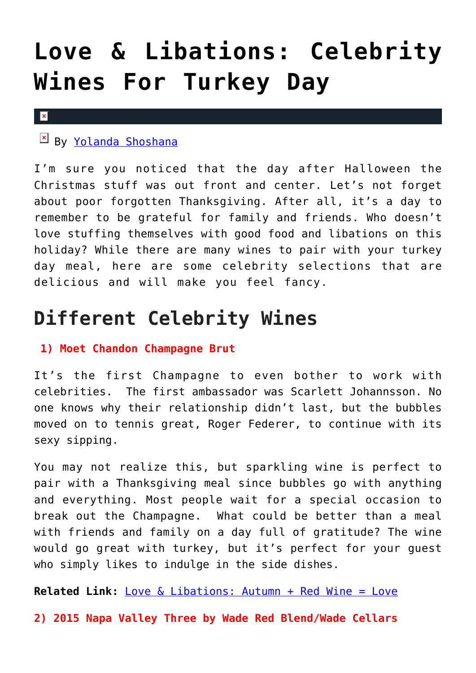# **[Love & Libations: Celebrity](https://cupidspulse.com/127449/love-libations-celebrity-wines-for-turkey-day/) [Wines For Turkey Day](https://cupidspulse.com/127449/love-libations-celebrity-wines-for-turkey-day/)**

#### $\mathbf x$

By [Yolanda Shoshana](http://cupidspulse.com/relationship-experts/yolanda-shoshana/)

I'm sure you noticed that the day after Halloween the Christmas stuff was out front and center. Let's not forget about poor forgotten Thanksgiving. After all, it's a day to remember to be grateful for family and friends. Who doesn't love stuffing themselves with good food and libations on this holiday? While there are many wines to pair with your turkey day meal, here are some celebrity selections that are delicious and will make you feel fancy.

## **Different Celebrity Wines**

#### **1) Moet Chandon Champagne Brut**

It's the first Champagne to even bother to work with celebrities. The first ambassador was Scarlett Johannsson. No one knows why their relationship didn't last, but the bubbles moved on to tennis great, Roger Federer, to continue with its sexy sipping.

You may not realize this, but sparkling wine is perfect to pair with a Thanksgiving meal since bubbles go with anything and everything. Most people wait for a special occasion to break out the Champagne. What could be better than a meal with friends and family on a day full of gratitude? The wine would go great with turkey, but it's perfect for your guest who simply likes to indulge in the side dishes.

**Related Link:** [Love & Libations: Autumn + Red Wine = Love](http://cupidspulse.com/126761/love-libations-autumn-red-wine-love/)

**2) 2015 Napa Valley Three by Wade Red Blend/Wade Cellars**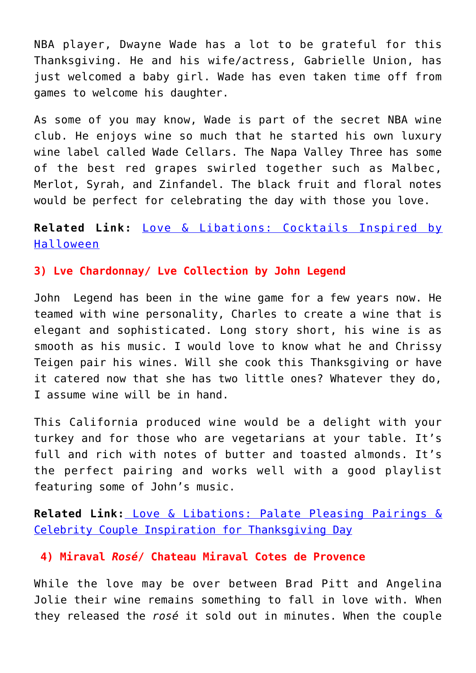NBA player, Dwayne Wade has a lot to be grateful for this Thanksgiving. He and his wife/actress, Gabrielle Union, has just welcomed a baby girl. Wade has even taken time off from games to welcome his daughter.

As some of you may know, Wade is part of the secret NBA wine club. He enjoys wine so much that he started his own luxury wine label called Wade Cellars. The Napa Valley Three has some of the best red grapes swirled together such as Malbec, Merlot, Syrah, and Zinfandel. The black fruit and floral notes would be perfect for celebrating the day with those you love.

### **Related Link:** [Love & Libations: Cocktails Inspired by](http://cupidspulse.com/127092/love-libations-cocktails-inspired-halloween/) [Halloween](http://cupidspulse.com/127092/love-libations-cocktails-inspired-halloween/)

#### **3) Lve Chardonnay/ Lve Collection by John Legend**

John Legend has been in the wine game for a few years now. He teamed with wine personality, Charles to create a wine that is elegant and sophisticated. Long story short, his wine is as smooth as his music. I would love to know what he and Chrissy Teigen pair his wines. Will she cook this Thanksgiving or have it catered now that she has two little ones? Whatever they do, I assume wine will be in hand.

This California produced wine would be a delight with your turkey and for those who are vegetarians at your table. It's full and rich with notes of butter and toasted almonds. It's the perfect pairing and works well with a good playlist featuring some of John's music.

**Related Link:** [Love & Libations: Palate Pleasing Pairings &](http://cupidspulse.com/121605/palate-pleasing-pairings-celebrity-couple-inspiration-for-thanksgiving-day/) [Celebrity Couple Inspiration for Thanksgiving Day](http://cupidspulse.com/121605/palate-pleasing-pairings-celebrity-couple-inspiration-for-thanksgiving-day/)

#### **4) Miraval** *Rosé***/ Chateau Miraval Cotes de Provence**

While the love may be over between Brad Pitt and Angelina Jolie their wine remains something to fall in love with. When they released the *rosé* it sold out in minutes. When the couple